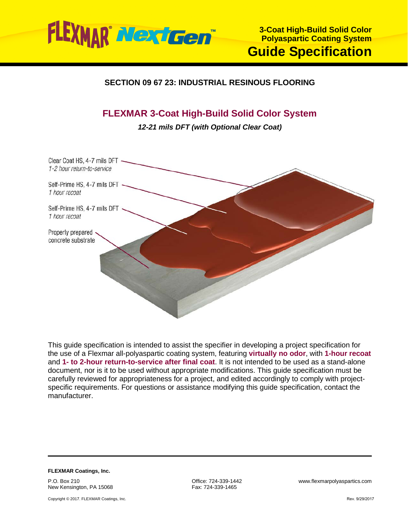

# **SECTION 09 67 23: INDUSTRIAL RESINOUS FLOORING**

# **FLEXMAR 3-Coat High-Build Solid Color System**

*12-21 mils DFT (with Optional Clear Coat)*



This guide specification is intended to assist the specifier in developing a project specification for the use of a Flexmar all-polyaspartic coating system, featuring **virtually no odor**, with **1-hour recoat** and **1- to 2-hour return-to-service after final coat**. It is not intended to be used as a stand-alone document, nor is it to be used without appropriate modifications. This guide specification must be carefully reviewed for appropriateness for a project, and edited accordingly to comply with projectspecific requirements. For questions or assistance modifying this guide specification, contact the manufacturer.

**FLEXMAR Coatings, Inc.** P.O. Box 210 New Kensington, PA 15068

Copyright © 2017. FLEXMAR Coatings, Inc.

Fax: 724-339-1465

Office: 724-339-1442 www.flexmarpolyaspartics.com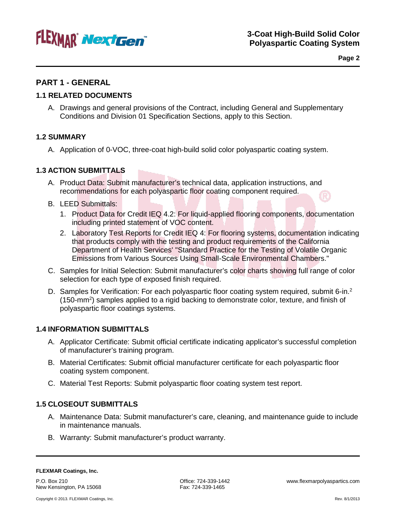

**Page 2**

# **PART 1 - GENERAL**

### **1.1 RELATED DOCUMENTS**

A. Drawings and general provisions of the Contract, including General and Supplementary Conditions and Division 01 Specification Sections, apply to this Section.

### **1.2 SUMMARY**

A. Application of 0-VOC, three-coat high-build solid color polyaspartic coating system.

### **1.3 ACTION SUBMITTALS**

- A. Product Data: Submit manufacturer's technical data, application instructions, and recommendations for each polyaspartic floor coating component required.
- B. LEED Submittals:
	- 1. Product Data for Credit IEQ 4.2: For liquid-applied flooring components, documentation including printed statement of VOC content.
	- 2. Laboratory Test Reports for Credit IEQ 4: For flooring systems, documentation indicating that products comply with the testing and product requirements of the California Department of Health Services' "Standard Practice for the Testing of Volatile Organic Emissions from Various Sources Using Small-Scale Environmental Chambers."
- C. Samples for Initial Selection: Submit manufacturer's color charts showing full range of color selection for each type of exposed finish required.
- D. Samples for Verification: For each polyaspartic floor coating system required, submit 6-in.<sup>2</sup> (150-mm<sup>2</sup>) samples applied to a rigid backing to demonstrate color, texture, and finish of polyaspartic floor coatings systems.

#### **1.4 INFORMATION SUBMITTALS**

- A. Applicator Certificate: Submit official certificate indicating applicator's successful completion of manufacturer's training program.
- B. Material Certificates: Submit official manufacturer certificate for each polyaspartic floor coating system component.
- C. Material Test Reports: Submit polyaspartic floor coating system test report.

#### **1.5 CLOSEOUT SUBMITTALS**

- A. Maintenance Data: Submit manufacturer's care, cleaning, and maintenance guide to include in maintenance manuals.
- B. Warranty: Submit manufacturer's product warranty.

P.O. Box 210<br>
New Kensington, PA 15068 The Society of Santa Contract 224-339-1465<br>
Fax: 724-339-1465 New Kensington, PA 15068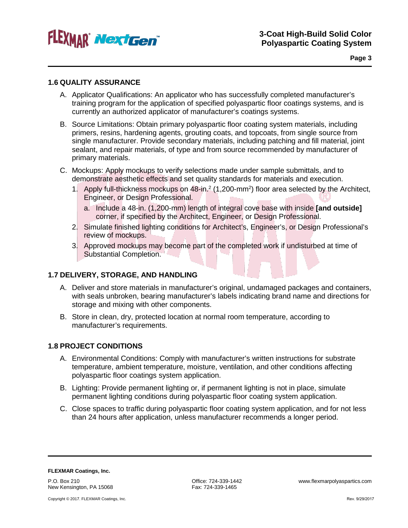

#### **1.6 QUALITY ASSURANCE**

- A. Applicator Qualifications: An applicator who has successfully completed manufacturer's training program for the application of specified polyaspartic floor coatings systems, and is currently an authorized applicator of manufacturer's coatings systems.
- B. Source Limitations: Obtain primary polyaspartic floor coating system materials, including primers, resins, hardening agents, grouting coats, and topcoats, from single source from single manufacturer. Provide secondary materials, including patching and fill material, joint sealant, and repair materials, of type and from source recommended by manufacturer of primary materials.
- C. Mockups: Apply mockups to verify selections made under sample submittals, and to demonstrate aesthetic effects and set quality standards for materials and execution.
	- 1. Apply full-thickness mockups on 48-in.<sup>2</sup> (1,200-mm<sup>2</sup>) floor area selected by the Architect, Engineer, or Design Professional.
		- a. Include a 48-in. (1,200-mm) length of integral cove base with inside **[and outside]** corner, if specified by the Architect, Engineer, or Design Professional.
	- 2. Simulate finished lighting conditions for Architect's, Engineer's, or Design Professional's review of mockups.
	- 3. Approved mockups may become part of the completed work if undisturbed at time of Substantial Completion.

#### **1.7 DELIVERY, STORAGE, AND HANDLING**

- A. Deliver and store materials in manufacturer's original, undamaged packages and containers, with seals unbroken, bearing manufacturer's labels indicating brand name and directions for storage and mixing with other components.
- B. Store in clean, dry, protected location at normal room temperature, according to manufacturer's requirements.

### **1.8 PROJECT CONDITIONS**

- A. Environmental Conditions: Comply with manufacturer's written instructions for substrate temperature, ambient temperature, moisture, ventilation, and other conditions affecting polyaspartic floor coatings system application.
- B. Lighting: Provide permanent lighting or, if permanent lighting is not in place, simulate permanent lighting conditions during polyaspartic floor coating system application.
- C. Close spaces to traffic during polyaspartic floor coating system application, and for not less than 24 hours after application, unless manufacturer recommends a longer period.

**FLEXMAR Coatings, Inc.** P.O. Box 210 New Kensington, PA 15068

Fax: 724-339-1465

Office: 724-339-1442 www.flexmarpolyaspartics.com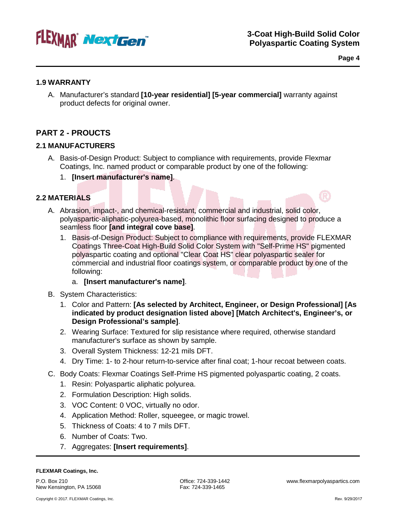

**Page 4**

#### **1.9 WARRANTY**

A. Manufacturer's standard **[10-year residential] [5-year commercial]** warranty against product defects for original owner.

# **PART 2 - PROUCTS**

### **2.1 MANUFACTURERS**

- A. Basis-of-Design Product: Subject to compliance with requirements, provide Flexmar Coatings, Inc. named product or comparable product by one of the following:
	- 1. **[Insert manufacturer's name]**.

## **2.2 MATERIALS**

- A. Abrasion, impact-, and chemical-resistant, commercial and industrial, solid color, polyaspartic-aliphatic-polyurea-based, monolithic floor surfacing designed to produce a seamless floor **[and integral cove base]**.
	- 1. Basis-of-Design Product: Subject to compliance with requirements, provide FLEXMAR Coatings Three-Coat High-Build Solid Color System with "Self-Prime HS" pigmented polyaspartic coating and optional "Clear Coat HS" clear polyaspartic sealer for commercial and industrial floor coatings system, or comparable product by one of the following:

#### a. **[Insert manufacturer's name]**.

- B. System Characteristics:
	- 1. Color and Pattern: **[As selected by Architect, Engineer, or Design Professional] [As indicated by product designation listed above] [Match Architect's, Engineer's, or Design Professional's sample]**.
	- 2. Wearing Surface: Textured for slip resistance where required, otherwise standard manufacturer's surface as shown by sample.
	- 3. Overall System Thickness: 12-21 mils DFT.
	- 4. Dry Time: 1- to 2-hour return-to-service after final coat; 1-hour recoat between coats.
- C. Body Coats: Flexmar Coatings Self-Prime HS pigmented polyaspartic coating, 2 coats.
	- 1. Resin: Polyaspartic aliphatic polyurea.
	- 2. Formulation Description: High solids.
	- 3. VOC Content: 0 VOC, virtually no odor.
	- 4. Application Method: Roller, squeegee, or magic trowel.
	- 5. Thickness of Coats: 4 to 7 mils DFT.
	- 6. Number of Coats: Two.
	- 7. Aggregates: **[Insert requirements]**.

#### **FLEXMAR Coatings, Inc.**

P.O. Box 210 New Kensington, PA 15068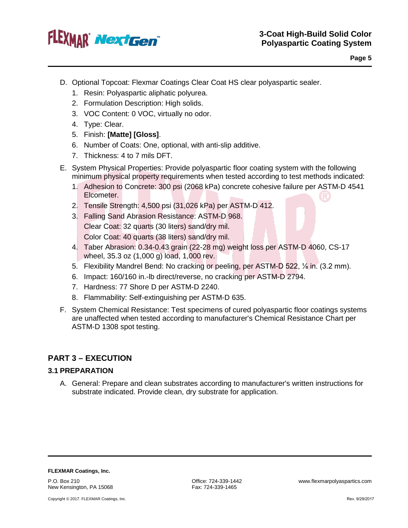

- D. Optional Topcoat: Flexmar Coatings Clear Coat HS clear polyaspartic sealer.
	- 1. Resin: Polyaspartic aliphatic polyurea.
	- 2. Formulation Description: High solids.
	- 3. VOC Content: 0 VOC, virtually no odor.
	- 4. Type: Clear.
	- 5. Finish: **[Matte] [Gloss]**.
	- 6. Number of Coats: One, optional, with anti-slip additive.
	- 7. Thickness: 4 to 7 mils DFT.
- E. System Physical Properties: Provide polyaspartic floor coating system with the following minimum physical property requirements when tested according to test methods indicated:
	- 1. Adhesion to Concrete: 300 psi (2068 kPa) concrete cohesive failure per ASTM-D 4541 Elcometer.
	- 2. Tensile Strength: 4,500 psi (31,026 kPa) per ASTM-D 412.
	- 3. Falling Sand Abrasion Resistance: ASTM-D 968. Clear Coat: 32 quarts (30 liters) sand/dry mil. Color Coat: 40 quarts (38 liters) sand/dry mil.
	- 4. Taber Abrasion: 0.34-0.43 grain (22-28 mg) weight loss per ASTM-D 4060, CS-17 wheel, 35.3 oz (1,000 g) load, 1,000 rev.
	- 5. Flexibility Mandrel Bend: No cracking or peeling, per ASTM-D 522, ⅛ in. (3.2 mm).
	- 6. Impact: 160/160 in.-lb direct/reverse, no cracking per ASTM-D 2794.
	- 7. Hardness: 77 Shore D per ASTM-D 2240.
	- 8. Flammability: Self-extinguishing per ASTM-D 635.
- F. System Chemical Resistance: Test specimens of cured polyaspartic floor coatings systems are unaffected when tested according to manufacturer's Chemical Resistance Chart per ASTM-D 1308 spot testing.

# **PART 3 – EXECUTION**

#### **3.1 PREPARATION**

A. General: Prepare and clean substrates according to manufacturer's written instructions for substrate indicated. Provide clean, dry substrate for application.

**FLEXMAR Coatings, Inc.**

P.O. Box 210 New Kensington, PA 15068

Copyright © 2017. FLEXMAR Coatings, Inc.

Fax: 724-339-1465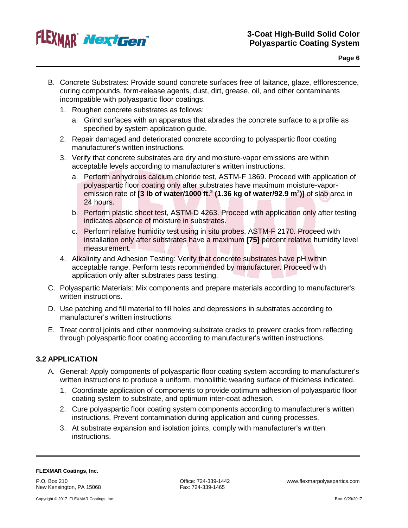

- B. Concrete Substrates: Provide sound concrete surfaces free of laitance, glaze, efflorescence, curing compounds, form-release agents, dust, dirt, grease, oil, and other contaminants incompatible with polyaspartic floor coatings.
	- 1. Roughen concrete substrates as follows:
		- a. Grind surfaces with an apparatus that abrades the concrete surface to a profile as specified by system application guide.
	- 2. Repair damaged and deteriorated concrete according to polyaspartic floor coating manufacturer's written instructions.
	- 3. Verify that concrete substrates are dry and moisture-vapor emissions are within acceptable levels according to manufacturer's written instructions.
		- a. Perform anhydrous calcium chloride test, ASTM-F 1869. Proceed with application of polyaspartic floor coating only after substrates have maximum moisture-vaporemission rate of **[3 lb of water/1000 ft.2 (1.36 kg of water/92.9 m2 )]** of slab area in 24 hours.
		- b. Perform plastic sheet test, ASTM-D 4263. Proceed with application only after testing indicates absence of moisture in substrates.
		- c. Perform relative humidity test using in situ probes, ASTM-F 2170. Proceed with installation only after substrates have a maximum **[75]** percent relative humidity level measurement.
	- 4. Alkalinity and Adhesion Testing: Verify that concrete substrates have pH within acceptable range. Perform tests recommended by manufacturer. Proceed with application only after substrates pass testing.
- C. Polyaspartic Materials: Mix components and prepare materials according to manufacturer's written instructions.
- D. Use patching and fill material to fill holes and depressions in substrates according to manufacturer's written instructions.
- E. Treat control joints and other nonmoving substrate cracks to prevent cracks from reflecting through polyaspartic floor coating according to manufacturer's written instructions.

### **3.2 APPLICATION**

- A. General: Apply components of polyaspartic floor coating system according to manufacturer's written instructions to produce a uniform, monolithic wearing surface of thickness indicated.
	- 1. Coordinate application of components to provide optimum adhesion of polyaspartic floor coating system to substrate, and optimum inter-coat adhesion.
	- 2. Cure polyaspartic floor coating system components according to manufacturer's written instructions. Prevent contamination during application and curing processes.
	- 3. At substrate expansion and isolation joints, comply with manufacturer's written instructions.

P.O. Box 210 New Kensington, PA 15068